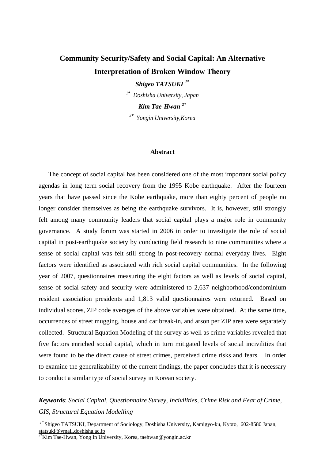# **Community Security/Safety and Social Capital: An Alternative Interpretation of Broken Window Theory**

*Shigeo TATSUKI 1\**

*1\* Doshisha University, Japan* 

*Kim Tae-Hwan 2\**

*2\* Yongin University,Korea* 

#### **Abstract**

The concept of social capital has been considered one of the most important social policy agendas in long term social recovery from the 1995 Kobe earthquake. After the fourteen years that have passed since the Kobe earthquake, more than eighty percent of people no longer consider themselves as being the earthquake survivors. It is, however, still strongly felt among many community leaders that social capital plays a major role in community governance. A study forum was started in 2006 in order to investigate the role of social capital in post-earthquake society by conducting field research to nine communities where a sense of social capital was felt still strong in post-recovery normal everyday lives. Eight factors were identified as associated with rich social capital communities. In the following year of 2007, questionnaires measuring the eight factors as well as levels of social capital, sense of social safety and security were administered to 2,637 neighborhood/condominium resident association presidents and 1,813 valid questionnaires were returned. Based on individual scores, ZIP code averages of the above variables were obtained. At the same time, occurrences of street mugging, house and car break-in, and arson per ZIP area were separately collected. Structural Equation Modeling of the survey as well as crime variables revealed that five factors enriched social capital, which in turn mitigated levels of social incivilities that were found to be the direct cause of street crimes, perceived crime risks and fears. In order to examine the generalizability of the current findings, the paper concludes that it is necessary to conduct a similar type of social survey in Korean society.

# *Keyword***s**: *Social Capital, Questionnaire Survey, Incivilities, Crime Risk and Fear of Crime, GIS, Structural Equation Modelling*

<sup>1</sup>*\** Shigeo TATSUKI, Department of Sociology, Doshisha University, Kamigyo-ku, Kyoto, 602-8580 Japan, statsuki@ymail.doshisha.ac.jp

*2\**Kim Tae-Hwan, Yong In University, Korea, taehwan@yongin.ac.kr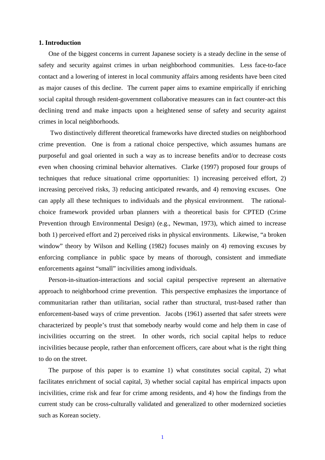## **1. Introduction**

One of the biggest concerns in current Japanese society is a steady decline in the sense of safety and security against crimes in urban neighborhood communities. Less face-to-face contact and a lowering of interest in local community affairs among residents have been cited as major causes of this decline. The current paper aims to examine empirically if enriching social capital through resident-government collaborative measures can in fact counter-act this declining trend and make impacts upon a heightened sense of safety and security against crimes in local neighborhoods.

 Two distinctively different theoretical frameworks have directed studies on neighborhood crime prevention. One is from a rational choice perspective, which assumes humans are purposeful and goal oriented in such a way as to increase benefits and/or to decrease costs even when choosing criminal behavior alternatives. Clarke (1997) proposed four groups of techniques that reduce situational crime opportunities: 1) increasing perceived effort, 2) increasing perceived risks, 3) reducing anticipated rewards, and 4) removing excuses. One can apply all these techniques to individuals and the physical environment. The rationalchoice framework provided urban planners with a theoretical basis for CPTED (Crime Prevention through Environmental Design) (e.g., Newman, 1973), which aimed to increase both 1) perceived effort and 2) perceived risks in physical environments. Likewise, "a broken window" theory by Wilson and Kelling (1982) focuses mainly on 4) removing excuses by enforcing compliance in public space by means of thorough, consistent and immediate enforcements against "small" incivilities among individuals.

Person-in-situation-interactions and social capital perspective represent an alternative approach to neighborhood crime prevention. This perspective emphasizes the importance of communitarian rather than utilitarian, social rather than structural, trust-based rather than enforcement-based ways of crime prevention. Jacobs (1961) asserted that safer streets were characterized by people's trust that somebody nearby would come and help them in case of incivilities occurring on the street. In other words, rich social capital helps to reduce incivilities because people, rather than enforcement officers, care about what is the right thing to do on the street.

The purpose of this paper is to examine 1) what constitutes social capital, 2) what facilitates enrichment of social capital, 3) whether social capital has empirical impacts upon incivilities, crime risk and fear for crime among residents, and 4) how the findings from the current study can be cross-culturally validated and generalized to other modernized societies such as Korean society.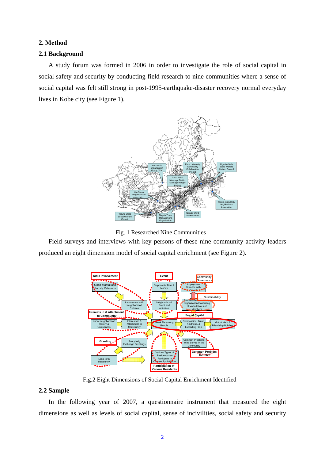# **2. Method**

#### **2.1 Background**

A study forum was formed in 2006 in order to investigate the role of social capital in social safety and security by conducting field research to nine communities where a sense of social capital was felt still strong in post-1995-earthquake-disaster recovery normal everyday lives in Kobe city (see Figure 1).



Fig. 1 Researched Nine Communities

Field surveys and interviews with key persons of these nine community activity leaders produced an eight dimension model of social capital enrichment (see Figure 2).



Fig.2 Eight Dimensions of Social Capital Enrichment Identified

# **2.2 Sample**

In the following year of 2007, a questionnaire instrument that measured the eight dimensions as well as levels of social capital, sense of incivilities, social safety and security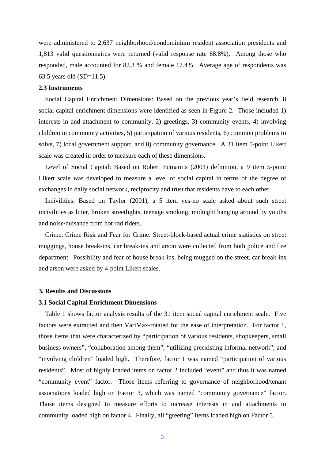were administered to 2,637 neighborhood/condominium resident association presidents and 1,813 valid questionnaires were returned (valid response rate 68.8%). Among those who responded, male accounted for 82.3 % and female 17.4%. Average age of respondents was 63.5 years old (SD=11.5).

# **2.3 Instruments**

Social Capital Enrichment Dimensions: Based on the previous year's field research, 8 social capital enrichment dimensions were identified as seen in Figure 2. Those included 1) interests in and attachment to community, 2) greetings, 3) community events, 4) involving children in community activities, 5) participation of various residents, 6) common problems to solve, 7) local government support, and 8) community governance. A 31 item 5-point Likert scale was created in order to measure each of these dimensions.

Level of Social Capital: Based on Robert Putnam's (2001) definition, a 9 item 5-point Likert scale was developed to measure a level of social capital in terms of the degree of exchanges in daily social network, reciprocity and trust that residents have to each other.

Incivilities: Based on Taylor (2001), a 5 item yes-no scale asked about such street incivilities as litter, broken streetlights, teenage smoking, midnight hanging around by youths and noise/nuisance from hot rod riders.

Crime, Crime Risk and Fear for Crime: Street-block-based actual crime statistics on street muggings, house break-ins, car break-ins and arson were collected from both police and fire department. Possibility and fear of house break-ins, being mugged on the street, car break-ins, and arson were asked by 4-point Likert scales.

#### **3. Results and Discussions**

#### **3.1 Social Capital Enrichment Dimensions**

Table 1 shows factor analysis results of the 31 item social capital enrichment scale. Five factors were extracted and then VariMax-rotated for the ease of interpretation. For factor 1, those items that were characterized by "participation of various residents, shopkeepers, small business owners", "collaboration among them", "utilizing preexisting informal network", and "involving children" loaded high. Therefore, factor 1 was named "participation of various residents". Most of highly loaded items on factor 2 included "event" and thus it was named "community event" factor. Those items referring to governance of neighborhood/tenant associations loaded high on Factor 3, which was named "community governance" factor. Those items designed to measure efforts to increase interests in and attachments to community loaded high on factor 4. Finally, all "greeting" items loaded high on Factor 5.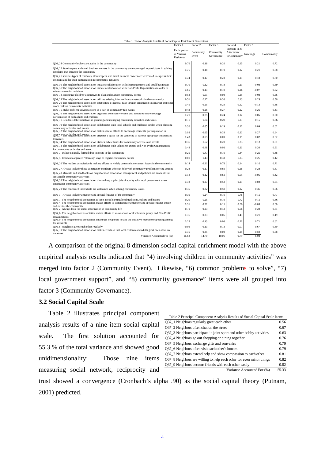| Table 1 Factor Analysis Results of Social Capital Enrichment Dimensions                                                                                                                                         |                                          |                    |                         |                                              |                    |              |  |
|-----------------------------------------------------------------------------------------------------------------------------------------------------------------------------------------------------------------|------------------------------------------|--------------------|-------------------------|----------------------------------------------|--------------------|--------------|--|
|                                                                                                                                                                                                                 | Factor 1                                 | Factor 2           | Factor 3                | Factor 4                                     | Factor 5           |              |  |
|                                                                                                                                                                                                                 | Participation<br>of Various<br>Residents | Community<br>Event | Community<br>Governance | Interests in &<br>Attachment<br>to Community | Greetings          | Communality  |  |
| Q36_24 Community brokers are active in the community                                                                                                                                                            | 0.76                                     | 0.18               | 0.20                    | 0.15                                         | 0.21               | 0.72         |  |
| Q36 22 Storekeepers and small business owners in the community are encouraged to participate in solving<br>problems that threaten the community                                                                 | 0.75                                     | 0.18               | 0.19                    | 0.12                                         | 0.21               | 0.68         |  |
| Q36_25 Various types of residents, storekeepers, and small business owners are welcomed to express their<br>opinions and for their participation in community activities                                        | 0.74                                     | 0.17               | 0.23                    | 0.19                                         | 0.18               | 0.70         |  |
| Q36_30 The neighborhood association initiates collaboration with shopping streets and small businesses<br>Q36_31 The neighborhood association initiates collaboration with Non-Profit Organizations in order to | 0.70<br>0.65                             | 0.12<br>0.13       | 0.18<br>0.10            | 0.23<br>0.26                                 | $-0.03$<br>$-0.07$ | 0.59<br>0.52 |  |
| solve community problems                                                                                                                                                                                        |                                          |                    |                         |                                              |                    |              |  |
| Q36_18 Encourage children's initiatives to plan and manage community events                                                                                                                                     | 0.53                                     | 0.51               | 0.08                    | 0.15                                         | 0.03               | 0.56         |  |
| Q36_23 The neighborhood association utilizes existing informal human networks in the community<br>Q36_29 The neighborhood association establishes a financial base through organizing flea market and other     | 0.51                                     | 0.27               | 0.36                    | 0.13                                         | 0.29               | 0.56         |  |
| profit making community activities                                                                                                                                                                              | 0.45                                     | 0.25               | 0.29                    | 0.12                                         | $-0.13$            | 0.38         |  |
| Q36_15 Make problem solving actions as a part of community fun events                                                                                                                                           | 0.42                                     | 0.26               | 0.27                    | 0.22                                         | 0.26               | 0.43         |  |
| Q36_16 The neighborhood association organizes community events and activities that encourage<br>narticination of both adults and children                                                                       | 0.21                                     | 0.75               | 0.24                    | 0.17                                         | 0.05               | 0.70         |  |
| Q36_11 Residents take initiatives in planning and managing community activities and events                                                                                                                      | 0.10                                     | 0.74               | 0.20                    | 0.21                                         | 0.15               | 0.66         |  |
| Q36_19 The neighborhood association collaborates with local schools and children's circles when planning<br>community activities and events                                                                     | 0.36                                     | 0.65               | 0.19                    | 0.16                                         | 0.09               | 0.62         |  |
| Q36_12 The neighborhood association makes special efforts to encourage residents' participatation in                                                                                                            | 0.02                                     | 0.65               | 0.33                    | 0.20                                         | 0.27               | 0.64         |  |
| Community activities and events<br>$Q36_1$ 17 The neighborhood association prepares a space for the gathering of various age group children and<br>teenagers                                                    | 0.43                                     | 0.63               | 0.09                    | 0.15                                         | 0.07               | 0.62         |  |
| Q36_14 The neighborhood association utilizes public funds for community activites and events                                                                                                                    | 0.36                                     | 0.52               | 0.20                    | 0.23                                         | 0.13               | 0.51         |  |
| Q36_13 The neighborhood association collaborates with voluntteer groups and Non-Profit Organizations                                                                                                            | 0.43                                     | 0.48               | 0.02                    | 0.23                                         | 0.20               | 0.51         |  |
| for community activities and event<br>Q36_7 Utilize naturally formed drop-in spots in the community                                                                                                             | 0.25                                     | 0.47               | 0.16                    | 0.34                                         | 0.25               | 0.48         |  |
| Q36_5 Residents organize "clean-up" days as regular community events                                                                                                                                            | 0.01                                     | 0.43               | 0.33                    | 0.23                                         | 0.26               | 0.42         |  |
|                                                                                                                                                                                                                 |                                          |                    |                         |                                              |                    |              |  |
| Q36_26 The resident association is making efforts to widely communicate current issues in the community                                                                                                         | 0.14                                     | 0.21               | 0.78                    | 0.14                                         | 0.16               | 0.71         |  |
| Q36_27 Always look for those community members who can help with community problem solving actions                                                                                                              | 0.28                                     | 0.17               | 0.69                    | 0.16                                         | 0.24               | 0.67         |  |
| Q36_28 Manuals and handbooks on neighborhood association management and policies are available for<br>sustainable community activities                                                                          | 0.18                                     | 0.12               | 0.61                    | 0.05                                         | $-0.05$            | 0.42         |  |
| Q36_32 The neighborhood association tries to keep a principle of equlity with local government when<br>organizing community activities                                                                          | 0.33                                     | 0.27               | 0.52                    | 0.29                                         | 0.02               | 0.54         |  |
| Q36_20 The concerned individuals are welcomed when solving community issues                                                                                                                                     | 0.35                                     | 0.22               | 0.50                    | 0.12                                         | 0.36               | 0.56         |  |
| Q36_3 Always look for attractive and special features of the community                                                                                                                                          | 0.30                                     | 0.24               | 0.16                    | 0.76                                         | 0.15               | 0.77         |  |
| Q36_1 The neighborhood association is keen about learning local traditions, culture and history                                                                                                                 | 0.20                                     | 0.25               | 0.16                    | 0.72                                         | 0.15               | 0.66         |  |
| Q36_4 The neighborhood association makes efforts to communicate attractive and special features inside<br>and outside the community                                                                             | 0.31                                     | 0.22               | 0.11                    | 0.66                                         | $-0.03$            | 0.60         |  |
| Q36_2 Always look for useful information in community life                                                                                                                                                      | 0.10                                     | 0.23               | 0.42                    | 0.56                                         | 0.23               | 0.61         |  |
| Q36_6 The neighborhood association makes efforts to know about local volunteer groups and Non-Profit                                                                                                            | 0.36                                     | 0.33               | 0.06                    | 0.45                                         | 0.21               | 0.49         |  |
| Organizations<br>Q36_9 The neighborhood association encourges neighbors to take the initiative to promote greeting among<br>the residents                                                                       | 0.22                                     | 0.13               | 0.08                    | 0.21                                         | 0.71               | 0.62         |  |
| Q36 8 Neighbors greet each other regularly                                                                                                                                                                      | $-0.06$                                  | 0.13               | 0.13                    | 0.01                                         | 0.67               | 0.49         |  |
| Q36 10 The neighborhood association makes efforts so that local children and adults greet each other on                                                                                                         | 0.35                                     | 0.35               | 0.08                    | 0.28                                         | 0.50               | 0.58         |  |
| the street<br>Variance Accounted For (%)                                                                                                                                                                        | 16.62                                    | 14.70              | 10.06                   | 9.79                                         | 6.98               |              |  |

A comparison of the original 8 dimension social capital enrichment model with the above empirical analysis results indicated that "4) involving children in community activities" was merged into factor 2 (Community Event). Likewise, "6) common problems to solve", "7) local government support", and "8) community governance" items were all grouped into factor 3 (Community Governance).

# **3.2 Social Capital Scale**

Table 2 illustrates principal component analysis results of a nine item social capital scale. The first solution accounted for 55.3 % of the total variance and showed good unidimensionality: Those nine items measuring social network, reciprocity and

| Table 2 Principal Component Analysis Results of Social Capital Scale Items |       |  |  |  |  |  |
|----------------------------------------------------------------------------|-------|--|--|--|--|--|
| Q37_1 Neighbors regularly greet each other                                 | 0.56  |  |  |  |  |  |
| Q37 2 Neighbors often chat on the street                                   | 0.67  |  |  |  |  |  |
| 037 3 Neighbors participate in joint sport and other hobby activities      | 0.63  |  |  |  |  |  |
| Q37 4 Neighbors go out shopping or dining together                         | 0.76  |  |  |  |  |  |
| O37 5 Neighbors exchange gifts and souvenirs                               | 0.79  |  |  |  |  |  |
| Q37 6 Neighbors often visit each other's houses                            | 0.79  |  |  |  |  |  |
| Q37 7 Neighbors extend help and show compassion to each other              | 0.81  |  |  |  |  |  |
| Q37_8 Neighbors are willing to help each other for even minor things       | 0.82  |  |  |  |  |  |
| 037 9 Neighbors become friends with each other easily                      | 0.82  |  |  |  |  |  |
| Variance Accounted For (%)                                                 | 55.33 |  |  |  |  |  |

trust showed a convergence (Cronbach's alpha .90) as the social capital theory (Putnam, 2001) predicted.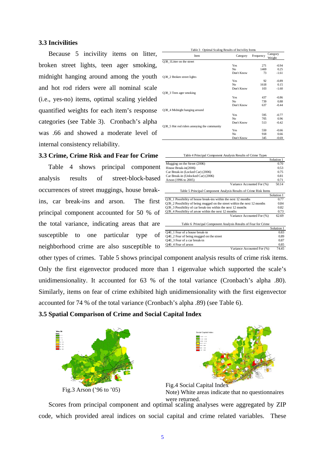# **3.3 Incivilities**

Because 5 incivility items on litter, broken street lights, teen ager smoking, midnight hanging around among the youth and hot rod riders were all nominal scale (i.e., yes-no) items, optimal scaling yielded quantified weights for each item's response categories (see Table 3). Cronbach's alpha was .66 and showed a moderate level of internal consistency reliability.

# **3.3 Crime, Crime Risk and Fear for Crime**

Table 4 shows principal component analysis results of street-block-based occurrences of street muggings, house breakins, car break-ins and arson. The first principal component accounted for 50 % of the total variance, indicating areas that are susceptible to one particular type of neighborhood crime are also susceptible to

| Table 3 Optimal Scaling Results of Incivility Items |            |           |         |  |  |  |  |  |
|-----------------------------------------------------|------------|-----------|---------|--|--|--|--|--|
| Item                                                | Category   | Frequency |         |  |  |  |  |  |
| Q38_1Litter on the street                           |            |           |         |  |  |  |  |  |
|                                                     | Yes        | 271       | $-0.94$ |  |  |  |  |  |
|                                                     | No         | 1469      | 0.25    |  |  |  |  |  |
|                                                     | Don't Know | 73        | $-1.61$ |  |  |  |  |  |
| Q38 2 Broken street lights                          |            |           |         |  |  |  |  |  |
|                                                     | Yes        | 92        | $-0.89$ |  |  |  |  |  |
|                                                     | No         | 1618      | 0.15    |  |  |  |  |  |
|                                                     | Don't Know | 103       | $-1.60$ |  |  |  |  |  |
| Q38_3 Teen ager smoking                             |            |           |         |  |  |  |  |  |
|                                                     | Yes        | 437       | $-0.86$ |  |  |  |  |  |
|                                                     | No         | 739       | 0.88    |  |  |  |  |  |
|                                                     | Don't Know | 637       | $-0.44$ |  |  |  |  |  |
| Q38 4 Midnight hanging around                       |            |           |         |  |  |  |  |  |
|                                                     | Yes        | 595       | $-0.77$ |  |  |  |  |  |
|                                                     | No         | 705       | 0.96    |  |  |  |  |  |
|                                                     | Don't Know | 513       | $-0.42$ |  |  |  |  |  |
| Q38_5 Hot rod riders annoying the community         |            |           |         |  |  |  |  |  |
|                                                     | Yes        | 550       | $-0.66$ |  |  |  |  |  |
|                                                     | No         | 918       | 0.66    |  |  |  |  |  |
|                                                     | Don't Know | 345       | $-0.69$ |  |  |  |  |  |

| Table 4 Principal Component Analysis Results of Crime Types               |            |  |  |
|---------------------------------------------------------------------------|------------|--|--|
|                                                                           | Solution 1 |  |  |
| Mugging on the Street (2006)                                              | 0.70       |  |  |
| House Break-in(2006)                                                      | 0.53       |  |  |
| Car Break-in (Locked Car) (2006)                                          | 0.75       |  |  |
| Car Break-in (Unlocked Car) (2006)                                        | 0.81       |  |  |
| Arson (1996 to 2005)                                                      | 0.71       |  |  |
| Variance Accounted For (%)                                                | 50.14      |  |  |
| Table 5 Principal Component Analysis Results of Crime Risk Items          |            |  |  |
|                                                                           | Solution 1 |  |  |
| Q39 1 Possibility of house break-ins within the next 12 months            |            |  |  |
| Q39 2 Possibility of being mugged on the street within the next 12 months |            |  |  |
| Q39 3 Possibility of car break-ins within the next 12 months              |            |  |  |
| Q39 4 Possibility of arson within the next 12 months                      |            |  |  |
| Variance Accounted For (%)                                                | 62.69      |  |  |
| Table 6 Principal Component Analysis Results of Fear for Crime            |            |  |  |
|                                                                           | Solution 1 |  |  |
| Q40 1 Fear of a house break-in                                            | 0.83       |  |  |
| Q40_2 Fear of being mugged on the street                                  | 0.89       |  |  |
| Q40 3 Fear of a car break-in                                              | 0.87       |  |  |
| Q40_4 Fear of arson                                                       | 0.85       |  |  |
| Variance Accounted For (%)                                                | 74.45      |  |  |

other types of crimes. Table 5 shows principal component analysis results of crime risk items. Only the first eigenvector produced more than 1 eigenvalue which supported the scale's unidimensionality. It accounted for 63 % of the total variance (Cronbach's alpha .80). Similarly, items on fear of crime exhibited high unidimensionality with the first eigenvector accounted for 74 % of the total variance (Cronbach's alpha .89) (see Table 6).

# **3.5 Spatial Comparison of Crime and Social Capital Index**







Scores from principal component and optimal scaling analyses were aggregated by ZIP code, which provided areal indices on social capital and crime related variables. These